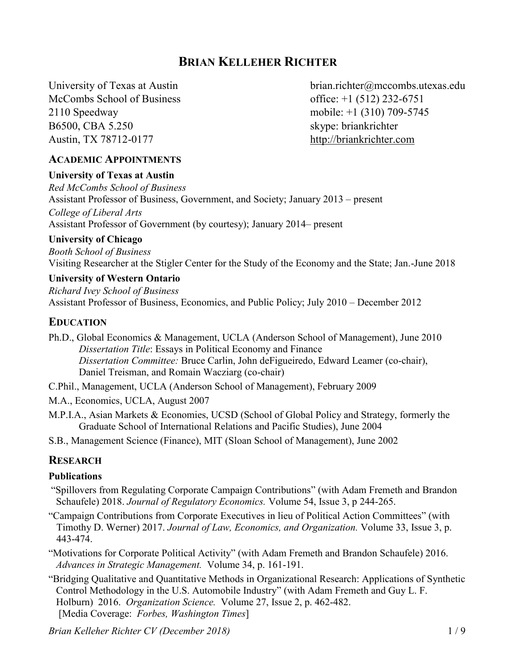# **BRIAN KELLEHER RICHTER**

McCombs School of Business office: +1 (512) 232-6751 2110 Speedway mobile: [+1 \(310\) 709-5745](http://tel:13107095745) B6500, CBA 5.250 skype: briankrichter Austin, TX 78712-0177 [http://briankrichter.com](http://briankrichter.com/)

University of Texas at Austin [brian.richter@mccombs.utexas.edu](mailto:brian.richter@mccombs.utexas.edu?subject=RE:%20Brian%20Kelleher%20Richter%20CV)

#### **ACADEMIC APPOINTMENTS**

#### **University of Texas at Austin** *Red McCombs School of Business* Assistant Professor of Business, Government, and Society; January 2013 – present

*College of Liberal Arts* Assistant Professor of Government (by courtesy); January 2014– present

#### **University of Chicago**

*Booth School of Business* 

Visiting Researcher at the Stigler Center for the Study of the Economy and the State; Jan.-June 2018

#### **University of Western Ontario**

*Richard Ivey School of Business* Assistant Professor of Business, Economics, and Public Policy; July 2010 – December 2012

### **EDUCATION**

- Ph.D., Global Economics & Management, UCLA (Anderson School of Management), June 2010 *Dissertation Title*: Essays in Political Economy and Finance *Dissertation Committee:* Bruce Carlin, John deFigueiredo, Edward Leamer (co-chair), Daniel Treisman, and Romain Wacziarg (co-chair)
- C.Phil., Management, UCLA (Anderson School of Management), February 2009
- M.A., Economics, UCLA, August 2007
- M.P.I.A., Asian Markets & Economies, UCSD (School of Global Policy and Strategy, formerly the Graduate School of International Relations and Pacific Studies), June 2004
- S.B., Management Science (Finance), MIT (Sloan School of Management), June 2002

## **RESEARCH**

#### **Publications**

- "Spillovers from Regulating Corporate Campaign Contributions" (with Adam Fremeth and Brandon Schaufele) 2018. *Journal of Regulatory Economics.* Volume 54, Issue 3, p 244-265.
- "Campaign Contributions from Corporate Executives in lieu of Political Action Committees" (with Timothy D. Werner) 2017. *Journal of Law, Economics, and Organization.* Volume 33, Issue 3, p. 443-474.

"Motivations for Corporate Political Activity" (with Adam Fremeth and Brandon Schaufele) 2016. *Advances in Strategic Management.* Volume 34, p. 161-191.

³Bridging Qualitative and Quantitative Methods in Organizational Research: Applications of Synthetic Control Methodology in the U.S. Automobile Industry" (with Adam Fremeth and Guy L. F. Holburn) 2016. *Organization Science.* Volume 27, Issue 2, p. 462-482. [Media Coverage: *Forbes, Washington Times*]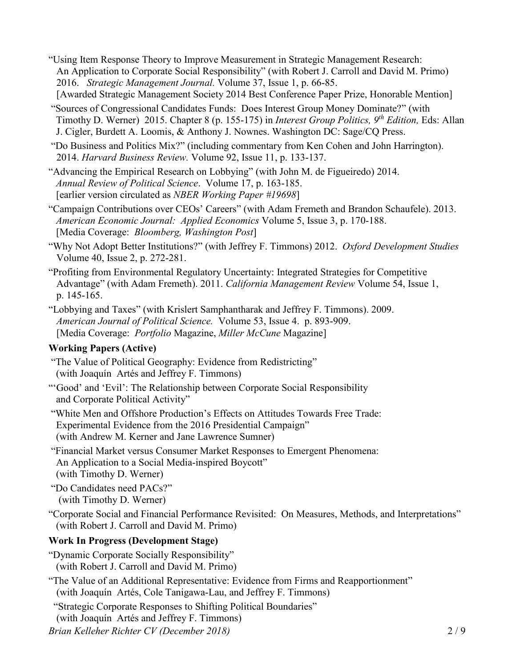- "Using Item Response Theory to Improve Measurement in Strategic Management Research: An Application to Corporate Social Responsibility" (with Robert J. Carroll and David M. Primo) 2016. *Strategic Management Journal.* Volume 37, Issue 1, p. 66-85. [Awarded Strategic Management Society 2014 Best Conference Paper Prize, Honorable Mention]
- "Sources of Congressional Candidates Funds: Does Interest Group Money Dominate?" (with Timothy D. Werner) 2015. Chapter 8 (p. 155-175) in *Interest Group Politics, 9th Edition,* Eds: Allan J. Cigler, Burdett A. Loomis, & Anthony J. Nownes. Washington DC: Sage/CQ Press.

"Do Business and Politics Mix?" (including commentary from Ken Cohen and John Harrington). 2014. *Harvard Business Review.* Volume 92, Issue 11, p. 133-137.

- "Advancing the Empirical Research on Lobbying" (with John M. de Figueiredo) 2014. *Annual Review of Political Science*. Volume 17, p. 163-185. [earlier version circulated as *NBER Working Paper #19698*]
- "Campaign Contributions over CEOs' Careers" (with Adam Fremeth and Brandon Schaufele). 2013. *American Economic Journal: Applied Economics* Volume 5, Issue 3, p. 170-188. [Media Coverage: *Bloomberg, Washington Post*]
- "Why Not Adopt Better Institutions?" (with Jeffrey F. Timmons) 2012. *Oxford Development Studies* Volume 40, Issue 2, p. 272-281.
- ³Profiting from Environmental Regulatory Uncertainty: Integrated Strategies for Competitive Advantage" (with Adam Fremeth). 2011. California Management Review Volume 54, Issue 1, p. 145-165.
- "Lobbying and Taxes" (with Krislert Samphantharak and Jeffrey F. Timmons). 2009. *American Journal of Political Science.* Volume 53, Issue 4. p. 893-909. [Media Coverage: *Portfolio* Magazine, *Miller McCune* Magazine]

## **Working Papers (Active)**

- "The Value of Political Geography: Evidence from Redistricting" (with Joaquín Artés and Jeffrey F. Timmons)
- "Good' and 'Evil': The Relationship between Corporate Social Responsibility and Corporate Political Activity"
- "White Men and Offshore Production's Effects on Attitudes Towards Free Trade: Experimental Evidence from the 2016 Presidential Campaign" (with Andrew M. Kerner and Jane Lawrence Sumner)
- "Financial Market versus Consumer Market Responses to Emergent Phenomena: An Application to a Social Media-inspired Boycott" (with Timothy D. Werner)

"Do Candidates need PACs?" (with Timothy D. Werner)

"Corporate Social and Financial Performance Revisited: On Measures, Methods, and Interpretations" (with Robert J. Carroll and David M. Primo)

## **Work In Progress (Development Stage)**

- "Dynamic Corporate Socially Responsibility" (with Robert J. Carroll and David M. Primo)
- "The Value of an Additional Representative: Evidence from Firms and Reapportionment"
	- (with Joaquín Artés, Cole Tanigawa-Lau, and Jeffrey F. Timmons)
- "Strategic Corporate Responses to Shifting Political Boundaries"
- (with Joaquín Artés and Jeffrey F. Timmons)

*Brian Kelleher Richter CV (December 2018)* 2 / 9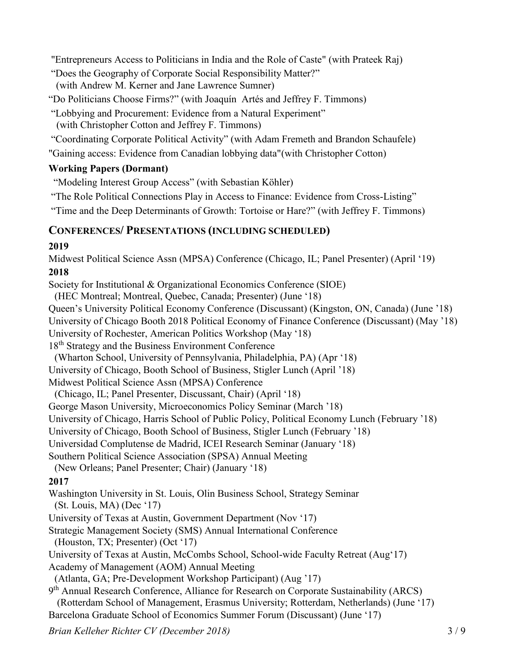"Entrepreneurs Access to Politicians in India and the Role of Caste" (with Prateek Raj)

"Does the Geography of Corporate Social Responsibility Matter?" (with Andrew M. Kerner and Jane Lawrence Sumner)

"Do Politicians Choose Firms?" (with Joaquín Artés and Jeffrey F. Timmons)

"Lobbying and Procurement: Evidence from a Natural Experiment"

(with Christopher Cotton and Jeffrey F. Timmons)

³Coordinating Corporate Political Activity´ (with Adam Fremeth and Brandon Schaufele)

"Gaining access: Evidence from Canadian lobbying data"(with Christopher Cotton)

## **Working Papers (Dormant)**

"Modeling Interest Group Access" (with Sebastian Köhler)

"The Role Political Connections Play in Access to Finance: Evidence from Cross-Listing"

"Time and the Deep Determinants of Growth: Tortoise or Hare?" (with Jeffrey F. Timmons)

## **CONFERENCES/ PRESENTATIONS (INCLUDING SCHEDULED)**

## **2019**

Midwest Political Science Assn (MPSA) Conference (Chicago, IL; Panel Presenter) (April '19) **2018**

Society for Institutional & Organizational Economics Conference (SIOE)

(HEC Montreal; Montreal, Quebec, Canada; Presenter) (June '18)

Queen's University Political Economy Conference (Discussant) (Kingston, ON, Canada) (June '18)

University of Chicago Booth 2018 Political Economy of Finance Conference (Discussant) (May '18)

University of Rochester, American Politics Workshop (May '18)

18th Strategy and the Business Environment Conference

(Wharton School, University of Pennsylvania, Philadelphia, PA) (Apr '18)

University of Chicago, Booth School of Business, Stigler Lunch (April '18)

Midwest Political Science Assn (MPSA) Conference

(Chicago, IL; Panel Presenter, Discussant, Chair) (April '18)

George Mason University, Microeconomics Policy Seminar (March '18)

University of Chicago, Harris School of Public Policy, Political Economy Lunch (February '18)

University of Chicago, Booth School of Business, Stigler Lunch (February '18)

Universidad Complutense de Madrid, ICEI Research Seminar (January '18)

Southern Political Science Association (SPSA) Annual Meeting

(New Orleans; Panel Presenter; Chair) (January '18)

# **2017**

Washington University in St. Louis, Olin Business School, Strategy Seminar  $(St. Louis, MA) (Dec '17)$ 

University of Texas at Austin, Government Department (Nov '17)

Strategic Management Society (SMS) Annual International Conference

 $(Houston, TX; Presenter) (Oct '17)$ 

University of Texas at Austin, McCombs School, School-wide Faculty Retreat (Aug'17)

Academy of Management (AOM) Annual Meeting

(Atlanta, GA; Pre-Development Workshop Participant) (Aug '17)

9th Annual Research Conference, Alliance for Research on Corporate Sustainability (ARCS) (Rotterdam School of Management, Erasmus University; Rotterdam, Netherlands) (June '17) Barcelona Graduate School of Economics Summer Forum (Discussant) (June '17)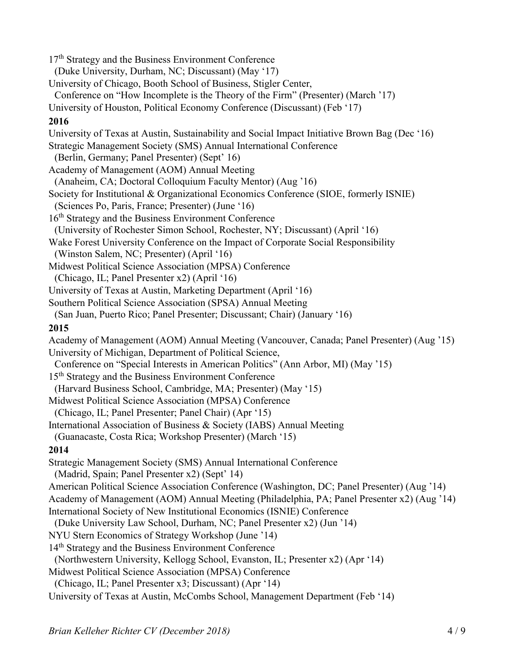$17<sup>th</sup>$  Strategy and the Business Environment Conference (Duke University, Durham, NC; Discussant) (May '17) University of Chicago, Booth School of Business, Stigler Center, Conference on "How Incomplete is the Theory of the Firm" (Presenter) (March '17) University of Houston, Political Economy Conference (Discussant) (Feb '17) **2016**  University of Texas at Austin, Sustainability and Social Impact Initiative Brown Bag (Dec '16) Strategic Management Society (SMS) Annual International Conference (Berlin, Germany; Panel Presenter) (Sept' 16) Academy of Management (AOM) Annual Meeting (Anaheim, CA; Doctoral Colloquium Faculty Mentor) (Aug '16) Society for Institutional & Organizational Economics Conference (SIOE, formerly ISNIE) (Sciences Po, Paris, France; Presenter) (June '16) 16th Strategy and the Business Environment Conference (University of Rochester Simon School, Rochester, NY; Discussant) (April '16) Wake Forest University Conference on the Impact of Corporate Social Responsibility (Winston Salem, NC; Presenter) (April '16) Midwest Political Science Association (MPSA) Conference (Chicago, IL; Panel Presenter x2) (April '16) University of Texas at Austin, Marketing Department (April '16) Southern Political Science Association (SPSA) Annual Meeting (San Juan, Puerto Rico; Panel Presenter; Discussant; Chair) (January '16) **2015** Academy of Management (AOM) Annual Meeting (Vancouver, Canada; Panel Presenter) (Aug '15) University of Michigan, Department of Political Science, Conference on "Special Interests in American Politics" (Ann Arbor, MI) (May '15) 15th Strategy and the Business Environment Conference (Harvard Business School, Cambridge, MA; Presenter) (May '15) Midwest Political Science Association (MPSA) Conference (Chicago, IL; Panel Presenter; Panel Chair) (Apr '15) International Association of Business & Society (IABS) Annual Meeting (Guanacaste, Costa Rica; Workshop Presenter) (March '15) **2014** Strategic Management Society (SMS) Annual International Conference (Madrid, Spain; Panel Presenter x2) (Sept' 14) American Political Science Association Conference (Washington, DC; Panel Presenter) (Aug '14) Academy of Management (AOM) Annual Meeting (Philadelphia, PA; Panel Presenter x2) (Aug '14) International Society of New Institutional Economics (ISNIE) Conference (Duke University Law School, Durham, NC; Panel Presenter x2) (Jun '14) NYU Stern Economics of Strategy Workshop (June '14) 14<sup>th</sup> Strategy and the Business Environment Conference (Northwestern University, Kellogg School, Evanston, IL; Presenter x2) (Apr '14) Midwest Political Science Association (MPSA) Conference  $(Chicago, IL; Panel Presenter x3; Discussant) (Apr '14)$ University of Texas at Austin, McCombs School, Management Department (Feb '14)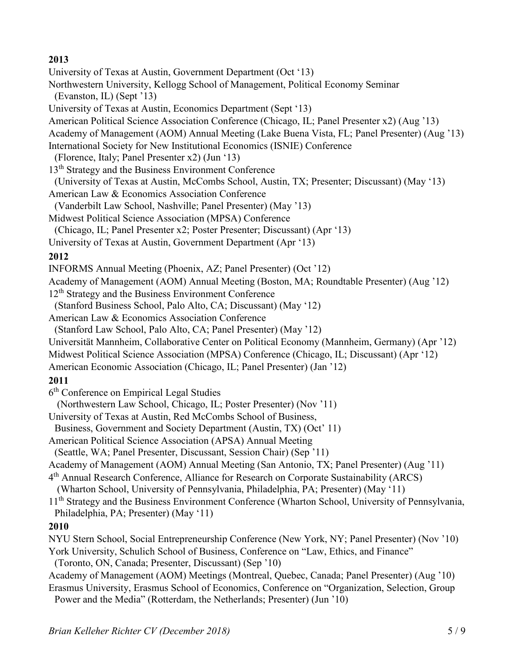### **2013**

University of Texas at Austin, Government Department (Oct '13) Northwestern University, Kellogg School of Management, Political Economy Seminar  $(Evanston, IL)$  (Sept '13) University of Texas at Austin, Economics Department (Sept '13) American Political Science Association Conference (Chicago, IL; Panel Presenter x2) (Aug '13) Academy of Management (AOM) Annual Meeting (Lake Buena Vista, FL; Panel Presenter) (Aug '13) International Society for New Institutional Economics (ISNIE) Conference (Florence, Italy; Panel Presenter  $x2$ ) (Jun '13) 13<sup>th</sup> Strategy and the Business Environment Conference (University of Texas at Austin, McCombs School, Austin, TX; Presenter; Discussant) (May '13) American Law & Economics Association Conference (Vanderbilt Law School, Nashville; Panel Presenter) (May '13) Midwest Political Science Association (MPSA) Conference (Chicago, IL; Panel Presenter x2; Poster Presenter; Discussant) (Apr '13) University of Texas at Austin, Government Department (Apr '13) **2012**  INFORMS Annual Meeting (Phoenix, AZ; Panel Presenter) (Oct  $'12$ ) Academy of Management (AOM) Annual Meeting (Boston, MA; Roundtable Presenter) (Aug '12) 12<sup>th</sup> Strategy and the Business Environment Conference (Stanford Business School, Palo Alto, CA; Discussant) (May '12) American Law & Economics Association Conference (Stanford Law School, Palo Alto, CA; Panel Presenter) (May '12) Universität Mannheim, Collaborative Center on Political Economy (Mannheim, Germany) (Apr '12) Midwest Political Science Association (MPSA) Conference (Chicago, IL; Discussant) (Apr '12) American Economic Association (Chicago, IL: Panel Presenter) (Jan '12) **2011**  6th Conference on Empirical Legal Studies (Northwestern Law School, Chicago, IL; Poster Presenter) (Nov '11) University of Texas at Austin, Red McCombs School of Business, Business, Government and Society Department (Austin, TX) (Oct' 11) American Political Science Association (APSA) Annual Meeting (Seattle, WA; Panel Presenter, Discussant, Session Chair) (Sep '11) Academy of Management (AOM) Annual Meeting (San Antonio, TX; Panel Presenter) (Aug '11) 4th Annual Research Conference, Alliance for Research on Corporate Sustainability (ARCS) (Wharton School, University of Pennsylvania, Philadelphia, PA; Presenter) (May '11) 11<sup>th</sup> Strategy and the Business Environment Conference (Wharton School, University of Pennsylvania, Philadelphia, PA; Presenter) (May '11) **2010**  NYU Stern School, Social Entrepreneurship Conference (New York, NY; Panel Presenter) (Nov '10) York University, Schulich School of Business, Conference on "Law, Ethics, and Finance" (Toronto, ON, Canada; Presenter, Discussant) (Sep '10) Academy of Management (AOM) Meetings (Montreal, Ouebec, Canada; Panel Presenter) (Aug '10) Erasmus University, Erasmus School of Economics, Conference on "Organization, Selection, Group Power and the Media" (Rotterdam, the Netherlands; Presenter) (Jun '10)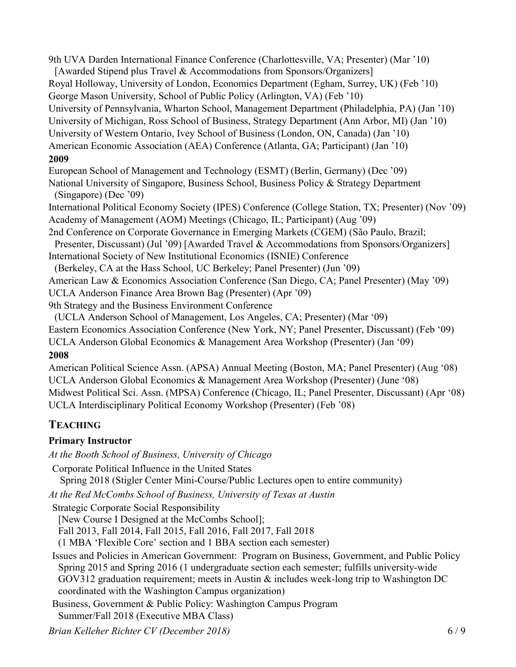9th UVA Darden International Finance Conference (Charlottesville, VA; Presenter) (Mar '10) [Awarded Stipend plus Travel & Accommodations from Sponsors/Organizers] Royal Holloway, University of London, Economics Department (Egham, Surrey, UK) (Feb '10) George Mason University, School of Public Policy (Arlington, VA) (Feb '10) University of Pennsylvania, Wharton School, Management Department (Philadelphia, PA) (Jan '10) University of Michigan, Ross School of Business, Strategy Department (Ann Arbor, MI) (Jan '10) University of Western Ontario, Ivey School of Business (London, ON, Canada) (Jan '10) American Economic Association (AEA) Conference (Atlanta, GA; Participant) (Jan '10) **2009** European School of Management and Technology (ESMT) (Berlin, Germany) (Dec '09) National University of Singapore, Business School, Business Policy & Strategy Department  $(Singapore)$  (Dec '09) International Political Economy Society (IPES) Conference (College Station, TX; Presenter) (Nov '09) Academy of Management (AOM) Meetings (Chicago, IL; Participant) (Aug '09) 2nd Conference on Corporate Governance in Emerging Markets (CGEM) (São Paulo, Brazil; Presenter, Discussant) (Jul '09) [Awarded Travel & Accommodations from Sponsors/Organizers] International Society of New Institutional Economics (ISNIE) Conference (Berkeley, CA at the Hass School, UC Berkeley; Panel Presenter) (Jun '09) American Law & Economics Association Conference (San Diego, CA; Panel Presenter) (May '09) UCLA Anderson Finance Area Brown Bag (Presenter) (Apr '09)

9th Strategy and the Business Environment Conference

(UCLA Anderson School of Management, Los Angeles, CA; Presenter) (Mar  $(99)$ )

Eastern Economics Association Conference (New York, NY; Panel Presenter, Discussant) (Feb '09)

UCLA Anderson Global Economics & Management Area Workshop (Presenter) (Jan '09)

#### **2008**

American Political Science Assn. (APSA) Annual Meeting (Boston, MA; Panel Presenter) (Aug '08) UCLA Anderson Global Economics & Management Area Workshop (Presenter) (June '08) Midwest Political Sci. Assn. (MPSA) Conference (Chicago, IL; Panel Presenter, Discussant) (Apr '08) UCLA Interdisciplinary Political Economy Workshop (Presenter) (Feb '08)

## **TEACHING**

## **Primary Instructor**

*At the Booth School of Business, University of Chicago* 

Corporate Political Influence in the United States

Spring 2018 (Stigler Center Mini-Course/Public Lectures open to entire community)

*At the Red McCombs School of Business, University of Texas at Austin*

Strategic Corporate Social Responsibility

[New Course I Designed at the McCombs School];

Fall 2013, Fall 2014, Fall 2015, Fall 2016, Fall 2017, Fall 2018

(1 MBA 'Flexible Core' section and 1 BBA section each semester)

Issues and Policies in American Government: Program on Business, Government, and Public Policy Spring 2015 and Spring 2016 (1 undergraduate section each semester; fulfills university-wide GOV312 graduation requirement; meets in Austin & includes week-long trip to Washington DC coordinated with the Washington Campus organization)

Business, Government & Public Policy: Washington Campus Program Summer/Fall 2018 (Executive MBA Class)

*Brian Kelleher Richter CV (December 2018)* 6 / 9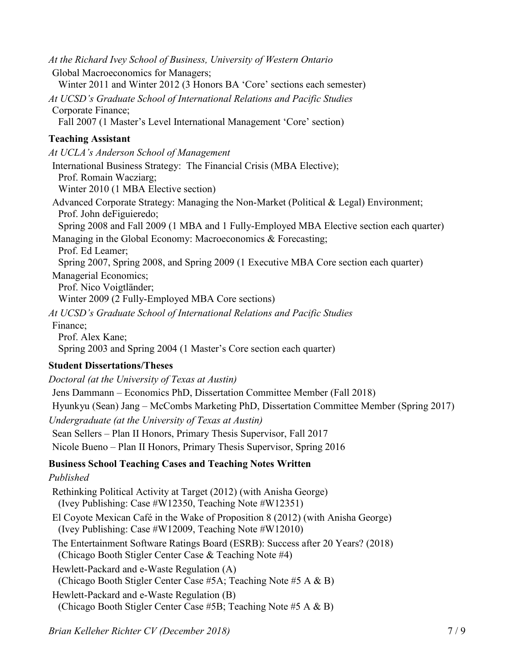*At the Richard Ivey School of Business, University of Western Ontario* Global Macroeconomics for Managers; Winter 2011 and Winter 2012 (3 Honors BA 'Core' sections each semester) At UCSD's Graduate School of International Relations and Pacific Studies Corporate Finance; Fall 2007 (1 Master's Level International Management 'Core' section) **Teaching Assistant** At UCLA's Anderson School of Management International Business Strategy: The Financial Crisis (MBA Elective); Prof. Romain Wacziarg; Winter 2010 (1 MBA Elective section) Advanced Corporate Strategy: Managing the Non-Market (Political & Legal) Environment; Prof. John deFiguieredo; Spring 2008 and Fall 2009 (1 MBA and 1 Fully-Employed MBA Elective section each quarter) Managing in the Global Economy: Macroeconomics & Forecasting; Prof. Ed Leamer; Spring 2007, Spring 2008, and Spring 2009 (1 Executive MBA Core section each quarter) Managerial Economics; Prof. Nico Voigtländer; Winter 2009 (2 Fully-Employed MBA Core sections) At UCSD's Graduate School of International Relations and Pacific Studies Finance; Prof. Alex Kane; Spring 2003 and Spring 2004 (1 Master's Core section each quarter) **Student Dissertations/Theses**  *Doctoral (at the University of Texas at Austin)* Jens Dammann ± Economics PhD, Dissertation Committee Member (Fall 2018) Hyunkyu (Sean) Jang – McCombs Marketing PhD, Dissertation Committee Member (Spring 2017) *Undergraduate (at the University of Texas at Austin)* Sean Sellers – Plan II Honors, Primary Thesis Supervisor, Fall 2017 Nicole Bueno – Plan II Honors, Primary Thesis Supervisor, Spring 2016 **Business School Teaching Cases and Teaching Notes Written** *Published* Rethinking Political Activity at Target (2012) (with Anisha George) (Ivey Publishing: Case #W12350, Teaching Note #W12351) El Coyote Mexican Café in the Wake of Proposition 8 (2012) (with Anisha George) (Ivey Publishing: Case #W12009, Teaching Note #W12010) The Entertainment Software Ratings Board (ESRB): Success after 20 Years? (2018) (Chicago Booth Stigler Center Case & Teaching Note #4) Hewlett-Packard and e-Waste Regulation (A) (Chicago Booth Stigler Center Case #5A; Teaching Note #5 A & B) Hewlett-Packard and e-Waste Regulation (B) (Chicago Booth Stigler Center Case #5B; Teaching Note #5 A & B)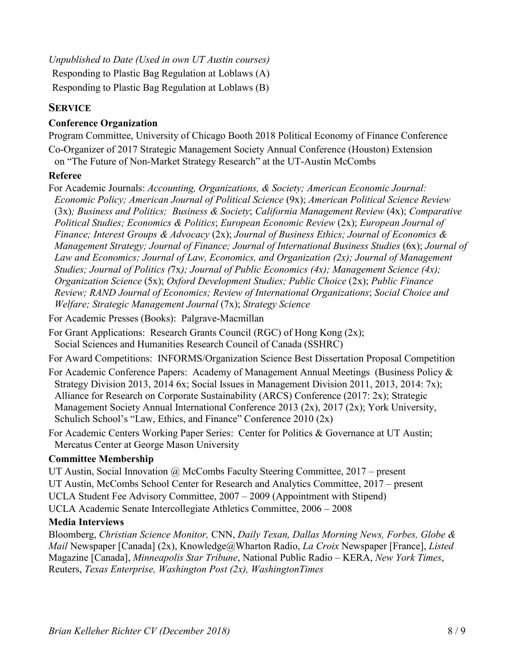*Unpublished to Date (Used in own UT Austin courses)* Responding to Plastic Bag Regulation at Loblaws (A) Responding to Plastic Bag Regulation at Loblaws (B)

### **SERVICE**

#### **Conference Organization**

Program Committee, University of Chicago Booth 2018 Political Economy of Finance Conference Co-Organizer of 2017 Strategic Management Society Annual Conference (Houston) Extension on "The Future of Non-Market Strategy Research" at the UT-Austin McCombs

#### **Referee**

For Academic Journals: *Accounting, Organizations, & Society; American Economic Journal: Economic Policy; American Journal of Political Science* (9x); *American Political Science Review* (3x)*; Business and Politics; Business & Society*; *California Management Review* (4x); *Comparative Political Studies; Economics & Politics*; *European Economic Review* (2x); *European Journal of Finance; Interest Groups & Advocacy* (2x); *Journal of Business Ethics; Journal of Economics & Management Strategy; Journal of Finance; Journal of International Business Studies* (6x); *Journal of Law and Economics; Journal of Law, Economics, and Organization (2x); Journal of Management Studies; Journal of Politics (*7x*); Journal of Public Economics (4x); Management Science (4x); Organization Science* (5x); *Oxford Development Studies; Public Choice* (2x); *Public Finance Review; RAND Journal of Economics; Review of International Organizations*; *Social Choice and Welfare; Strategic Management Journal* (7x); *Strategy Science*

For Academic Presses (Books): Palgrave-Macmillan

For Grant Applications: Research Grants Council (RGC) of Hong Kong  $(2x)$ ; Social Sciences and Humanities Research Council of Canada (SSHRC)

For Award Competitions: INFORMS/Organization Science Best Dissertation Proposal Competition

- For Academic Conference Papers: Academy of Management Annual Meetings (Business Policy & Strategy Division 2013, 2014 6x; Social Issues in Management Division 2011, 2013, 2014: 7x); Alliance for Research on Corporate Sustainability (ARCS) Conference (2017: 2x); Strategic Management Society Annual International Conference 2013 (2x), 2017 (2x); York University, Schulich School's "Law, Ethics, and Finance" Conference  $2010 (2x)$
- For Academic Centers Working Paper Series: Center for Politics & Governance at UT Austin; Mercatus Center at George Mason University

#### **Committee Membership**

UT Austin, Social Innovation  $\omega$  McCombs Faculty Steering Committee, 2017 – present UT Austin, McCombs School Center for Research and Analytics Committee, 2017 – present UCLA Student Fee Advisory Committee, 2007 – 2009 (Appointment with Stipend) UCLA Academic Senate Intercollegiate Athletics Committee, 2006 - 2008

#### **Media Interviews**

Bloomberg, *Christian Science Monitor,* CNN, *Daily Texan, Dallas Morning News, Forbes, Globe & Mail* Newspaper [Canada] (2x), Knowledge@Wharton Radio, *La Croix* Newspaper [France], *Listed* Magazine [Canada], *Minneapolis Star Tribune*, National Public Radio – KERA, *New York Times*, Reuters, *Texas Enterprise, Washington Post (2x), WashingtonTimes*